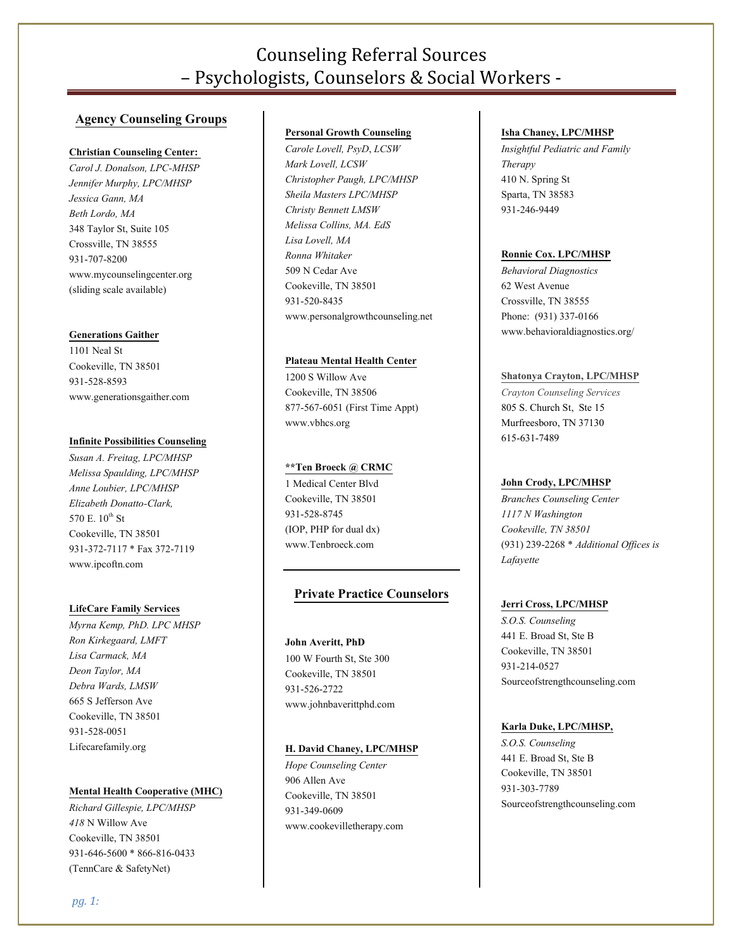# Counseling Referral Sources – Psychologists, Counselors & Social Workers -

# **Agency Counseling Groups**

#### **Christian Counseling Center:**

*Carol J. Donalson, LPC-MHSP Jennifer Murphy, LPC/MHSP Jessica Gann, MA Beth Lordo, MA* 348 Taylor St, Suite 105 Crossville, TN 38555 [931-707-8200](tel:931-707-8200) [www.mycounselingcenter.org](http://www.mycounselingcenter.org/) (sliding scale available)

#### **Generations Gaither**

1101 Neal St Cookeville, TN 38501 931-528-8593 www.generationsgaither.com

# **Infinite Possibilities Counseling**

*Susan A. Freitag, LPC/MHSP Melissa Spaulding, LPC/MHSP Anne Loubier, LPC/MHSP Elizabeth Donatto-Clark,*  570 E. 10<sup>th</sup> St Cookeville, TN 38501 931-372-7117\* Fa[x 372-7119](tel:931-372-7119) [www.ipcoftn.com](http://www.ipcoftn.com/)

## **LifeCare Family Services**

*Myrna Kemp, PhD. LPC MHSP Ron Kirkegaard, LMFT Lisa Carmack, MA Deon Taylor, MA Debra Wards, LMSW* 665 S Jefferson Ave Cookeville, TN 38501 931-528-0051 Lifecarefamily.org

#### **Mental Health Cooperative (MHC)**

*Richard Gillespie, LPC/MHSP 418* N Willow Ave Cookeville, TN 38501 931-646-5600\* 866-816-0433 (TennCare & SafetyNet)

#### **Personal Growth Counseling**

*Carole Lovell, PsyD*, *LCSW Mark Lovell, LCSW Christopher Paugh, LPC/MHSP Sheila Masters LPC/MHSP Christy Bennett LMSW Melissa Collins, MA. EdS Lisa Lovell, MA Ronna Whitaker* 509 N Cedar Ave Cookeville, TN 38501 931-520-8435 www.personalgrowthcounseling.net

#### **Plateau Mental Health Center**

1200 S Willow Ave Cookeville, TN 38506 877-567-6051 (First Time Appt) www.vbhcs.org

#### **\*\*Ten Broeck @ CRMC**

1 Medical Center Blvd Cookeville, TN 38501 931-528-8745 (IOP, PHP for dual dx) www.Tenbroeck.com

# **Private Practice Counselors**

#### **John Averitt, PhD**

100 W Fourth St, Ste 300 Cookeville, TN 38501 931-526-2722 www.johnbaverittphd.com

# **H. David Chaney, LPC/MHSP**

*Hope Counseling Center* 906 Allen Ave Cookeville, TN 38501 931-349-0609 www.cookevilletherapy.com

#### **Isha Chaney, LPC/MHSP**

*Insightful Pediatric and Family Therapy* 410 N. Spring St Sparta, TN 38583 931-246-9449

#### **Ronnie Cox. LPC/MHSP**

*Behavioral Diagnostics* 62 West Avenue Crossville, TN 38555 Phone: (931) 337-0166 www.behavioraldiagnostics.org/

#### **Shatonya Crayton, LPC/MHSP**

*Crayton Counseling Services* 805 S. Church St, Ste 15 Murfreesboro, TN 37130 615-631-7489

# **John Crody, LPC/MHSP**

*Branches Counseling Center 1117 N Washington Cookeville, TN 38501* (931) 239-2268\* *Additional Offices is Lafayette*

#### **Jerri Cross, LPC/MHSP**

*S.O.S. Counseling* 441 E. Broad St, Ste B Cookeville, TN 38501 931-214-0527 Sourceofstrengthcounseling.com

#### **Karla Duke, LPC/MHSP,**

*S.O.S. Counseling* 441 E. Broad St, Ste B Cookeville, TN 38501 931-303-7789 Sourceofstrengthcounseling.com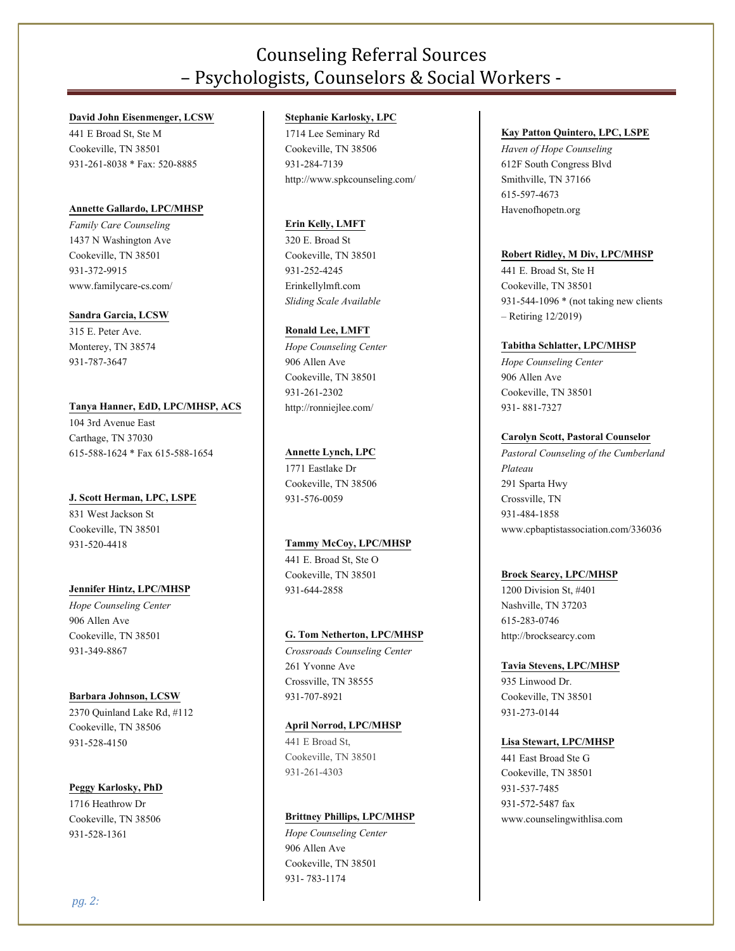# Counseling Referral Sources – Psychologists, Counselors & Social Workers -

#### **David John Eisenmenger, LCSW**

441 E Broad St, Ste M Cookeville, TN 38501 931-261-8038\* Fax: 520-8885

## **Annette Gallardo, LPC/MHSP**

*Family Care Counseling* 1437 N Washington Ave Cookeville, TN 38501 931-372-9915 www.familycare-cs.com/

## **Sandra Garcia, LCSW**

315 E. Peter Ave. Monterey, TN 38574 [931-787-3647](tel:%28931%29%20787-3647)

# **Tanya Hanner, EdD, LPC/MHSP, ACS**

104 3rd Avenue East Carthage, TN 37030 [615-588-1624](tel:615-588-1624)\* Fa[x 615-588-1654](tel:615-588-1654)

## **J. Scott Herman, LPC, LSPE**

831 West Jackson St Cookeville, TN 38501 931-520-4418

## **Jennifer Hintz, LPC/MHSP**

*Hope Counseling Center* 906 Allen Ave Cookeville, TN 38501 931-349-8867

## **Barbara Johnson, LCSW**

2370 Quinland Lake Rd, #112 Cookeville, TN 38506 931-528-4150

## **Peggy Karlosky, PhD**

1716 Heathrow Dr Cookeville, TN 38506 931-528-1361

# **Stephanie Karlosky, LPC**

1714 Lee Seminary Rd Cookeville, TN 38506 931-284-7139 http://www.spkcounseling.com/

## **Erin Kelly, LMFT**

320 E. Broad St Cookeville, TN 38501 931-252-4245 Erinkellylmft.com *Sliding Scale Available*

## **Ronald Lee, LMFT**

*Hope Counseling Center* 906 Allen Ave Cookeville, TN 38501 931-261-2302 http://ronniejlee.com/

# **Annette Lynch, LPC**

1771 Eastlake Dr Cookeville, TN 38506 931-576-0059

# **Tammy McCoy, LPC/MHSP**

441 E. Broad St, Ste O Cookeville, TN 38501 931-644-2858

## **G. Tom Netherton, LPC/MHSP**

*Crossroads Counseling Center* 261 Yvonne Ave Crossville, TN 38555 931-707-8921

## **April Norrod, LPC/MHSP**

[441 E Broad St,](http://maps.google.com/maps?q=123%20Davidson%20Ln%20%2C%20Gainesboro%2C%20TN%2038562&authuser=0) [Cookeville,](http://maps.google.com/maps?q=123%20Davidson%20Ln%20%2C%20Gainesboro%2C%20TN%2038562&authuser=0) TN 38501 931-261-4303

## **Brittney Phillips, LPC/MHSP**

*Hope Counseling Center* 906 Allen Ave Cookeville, TN 38501 931-783-1174

#### **Kay Patton Quintero, LPC, LSPE**

*Haven of Hope Counseling* 612F South Congress Blvd Smithville, TN 37166 [615-597-4673](tel:615-597-4673) Havenofhopetn.org

# **Robert Ridley, M Div, LPC/MHSP**

441 E. Broad St, Ste H Cookeville, TN 38501 931-544-1096 \* (not taking new clients – Retiring 12/2019)

## **Tabitha Schlatter, LPC/MHSP**

*Hope Counseling Center* 906 Allen Ave Cookeville, TN 38501 931-881-7327

## **Carolyn Scott, Pastoral Counselor**

*Pastoral Counseling of the Cumberland Plateau* 291 Sparta Hwy Crossville, TN 931-484-1858 www.cpbaptistassociation.com/336036

## **Brock Searcy, LPC/MHSP**

1200 Division St, #401 Nashville, TN 37203 615-283-0746 http://brocksearcy.com

## **Tavia Stevens, LPC/MHSP**

935 Linwood Dr. Cookeville, TN 38501 931-273-0144

## **Lisa Stewart, LPC/MHSP**

441 East Broad Ste G Cookeville, TN 38501 [931-537-7485](tel:931-537-7485) 931-572-5487 fax [www.counselingwithlisa.com](http://www.counselingwithlisa.com/)